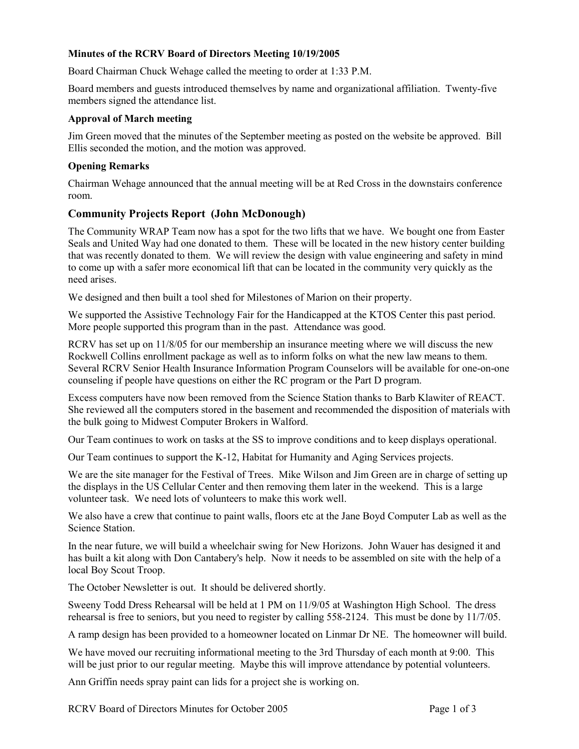# **Minutes of the RCRV Board of Directors Meeting 10/19/2005**

Board Chairman Chuck Wehage called the meeting to order at 1:33 P.M.

Board members and guests introduced themselves by name and organizational affiliation. Twenty-five members signed the attendance list.

## **Approval of March meeting**

Jim Green moved that the minutes of the September meeting as posted on the website be approved. Bill Ellis seconded the motion, and the motion was approved.

## **Opening Remarks**

Chairman Wehage announced that the annual meeting will be at Red Cross in the downstairs conference room.

# **Community Projects Report (John McDonough)**

The Community WRAP Team now has a spot for the two lifts that we have. We bought one from Easter Seals and United Way had one donated to them. These will be located in the new history center building that was recently donated to them. We will review the design with value engineering and safety in mind to come up with a safer more economical lift that can be located in the community very quickly as the need arises.

We designed and then built a tool shed for Milestones of Marion on their property.

We supported the Assistive Technology Fair for the Handicapped at the KTOS Center this past period. More people supported this program than in the past. Attendance was good.

RCRV has set up on 11/8/05 for our membership an insurance meeting where we will discuss the new Rockwell Collins enrollment package as well as to inform folks on what the new law means to them. Several RCRV Senior Health Insurance Information Program Counselors will be available for one-on-one counseling if people have questions on either the RC program or the Part D program.

Excess computers have now been removed from the Science Station thanks to Barb Klawiter of REACT. She reviewed all the computers stored in the basement and recommended the disposition of materials with the bulk going to Midwest Computer Brokers in Walford.

Our Team continues to work on tasks at the SS to improve conditions and to keep displays operational.

Our Team continues to support the K-12, Habitat for Humanity and Aging Services projects.

We are the site manager for the Festival of Trees. Mike Wilson and Jim Green are in charge of setting up the displays in the US Cellular Center and then removing them later in the weekend. This is a large volunteer task. We need lots of volunteers to make this work well.

We also have a crew that continue to paint walls, floors etc at the Jane Boyd Computer Lab as well as the Science Station.

In the near future, we will build a wheelchair swing for New Horizons. John Wauer has designed it and has built a kit along with Don Cantabery's help. Now it needs to be assembled on site with the help of a local Boy Scout Troop.

The October Newsletter is out. It should be delivered shortly.

Sweeny Todd Dress Rehearsal will be held at 1 PM on 11/9/05 at Washington High School. The dress rehearsal is free to seniors, but you need to register by calling 558-2124. This must be done by 11/7/05.

A ramp design has been provided to a homeowner located on Linmar Dr NE. The homeowner will build.

We have moved our recruiting informational meeting to the 3rd Thursday of each month at 9:00. This will be just prior to our regular meeting. Maybe this will improve attendance by potential volunteers.

Ann Griffin needs spray paint can lids for a project she is working on.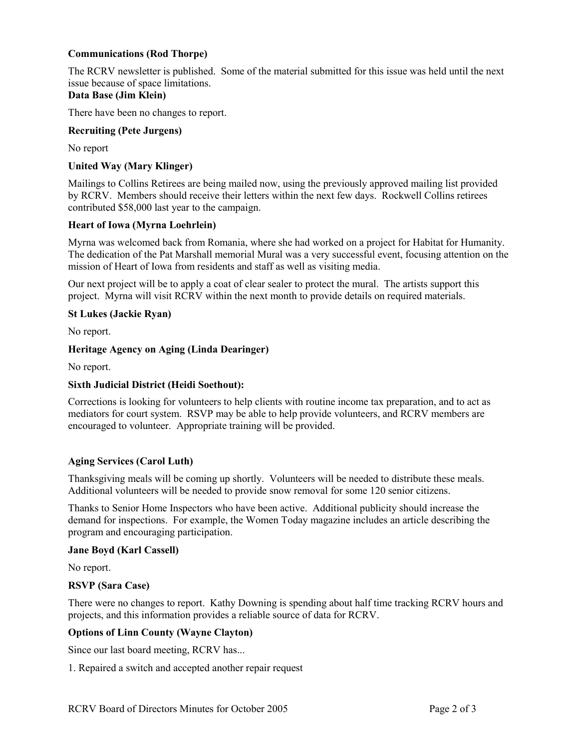# **Communications (Rod Thorpe)**

The RCRV newsletter is published. Some of the material submitted for this issue was held until the next issue because of space limitations.

# **Data Base (Jim Klein)**

There have been no changes to report.

## **Recruiting (Pete Jurgens)**

No report

## **United Way (Mary Klinger)**

Mailings to Collins Retirees are being mailed now, using the previously approved mailing list provided by RCRV. Members should receive their letters within the next few days. Rockwell Collins retirees contributed \$58,000 last year to the campaign.

#### **Heart of Iowa (Myrna Loehrlein)**

Myrna was welcomed back from Romania, where she had worked on a project for Habitat for Humanity. The dedication of the Pat Marshall memorial Mural was a very successful event, focusing attention on the mission of Heart of Iowa from residents and staff as well as visiting media.

Our next project will be to apply a coat of clear sealer to protect the mural. The artists support this project. Myrna will visit RCRV within the next month to provide details on required materials.

#### **St Lukes (Jackie Ryan)**

No report.

## **Heritage Agency on Aging (Linda Dearinger)**

No report.

## **Sixth Judicial District (Heidi Soethout):**

Corrections is looking for volunteers to help clients with routine income tax preparation, and to act as mediators for court system. RSVP may be able to help provide volunteers, and RCRV members are encouraged to volunteer. Appropriate training will be provided.

## **Aging Services (Carol Luth)**

Thanksgiving meals will be coming up shortly. Volunteers will be needed to distribute these meals. Additional volunteers will be needed to provide snow removal for some 120 senior citizens.

Thanks to Senior Home Inspectors who have been active. Additional publicity should increase the demand for inspections. For example, the Women Today magazine includes an article describing the program and encouraging participation.

#### **Jane Boyd (Karl Cassell)**

No report.

#### **RSVP (Sara Case)**

There were no changes to report. Kathy Downing is spending about half time tracking RCRV hours and projects, and this information provides a reliable source of data for RCRV.

#### **Options of Linn County (Wayne Clayton)**

Since our last board meeting, RCRV has...

1. Repaired a switch and accepted another repair request